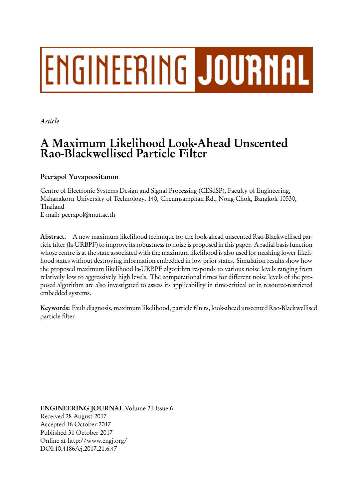# **ENGINEERING JOURNAL**

*Article*

# **A Maximum Likelihood Look-Ahead Unscented Rao-Blackwellised Particle Filter**

# **Peerapol Yuvapoositanon**

Centre of Electronic Systems Design and Signal Processing (CESdSP), Faculty of Engineering, Mahanakorn University of Technology, 140, Cheumsamphan Rd., Nong-Chok, Bangkok 10530, Thailand

E-mail: peerapol@mut.ac.th

**Abstract.** A new maximum likelihood technique for the look-ahead unscented Rao-Blackwellised particle filter (la-URBPF) to improve its robustness to noise is proposed in this paper. A radial basis function whose centre is at the state associated with the maximum likelihood is also used for masking lower likelihood states without destroying information embedded in low prior states. Simulation results show how the proposed maximum likelihood la-URBPF algorithm responds to various noise levels ranging from relatively low to aggressively high levels. The computational times for different noise levels of the proposed algorithm are also investigated to assess its applicability in time-critical or in resource-restricted embedded systems.

**Keywords:** Fault diagnosis, maximum likelihood, particle filters, look-ahead unscented Rao-Blackwellised particle filter.

**ENGINEERING JOURNAL** Volume 21 Issue 6 Received 28 August 2017 Accepted 16 October 2017 Published 31 October 2017 Online at http://www.engj.org/ DOI:10.4186/ej.2017.21.6.47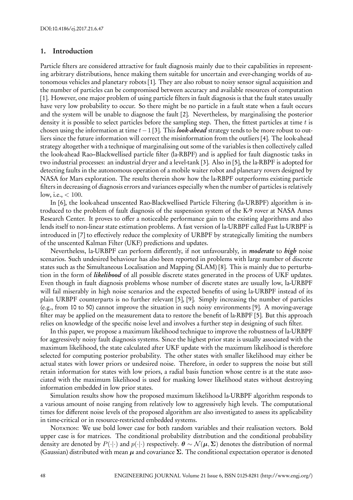#### **1. Introduction**

Particle filters are considered attractive for fault diagnosis mainly due to their capabilities in representing arbitrary distributions, hence making them suitable for uncertain and ever-changing worlds of autonomous vehicles and planetary robots [1]. They are also robust to noisy sensor signal acquisition and the number of particles can be compromised between accuracy and available resources of computation [1]. However, one major problem of using particle filters in fault diagnosis is that the fault states usually have very low probability to occur. So there might be no particle in a fault state when a fault occurs and the system will be unable to diagnose the fault [2]. Nevertheless, by marginalising the posterior density it is possible to select particles before the sampling step. Then, the fittest particles at time *t* is chosen using the information at time *t−*1 [3]. This *look-ahead* strategy tends to be more robust to outliers since the future information will correct the misinformation from the outliers [4]. The look-ahead strategy altogether with a technique of marginalising out some of the variables is then collectively called the look-ahead Rao–Blackwellised particle filter (la-RBPF) and is applied for fault diagnostic tasks in two industrial processes: an industrial dryer and a level-tank [3]. Also in [5], the la-RBPF is adopted for detecting faults in the autonomous operation of a mobile waiter robot and planetary rovers designed by NASA for Mars exploration. The results therein show how the la-RBPF outperforms existing particle filters in decreasing of diagnosis errors and variances especially when the number of particles is relatively low, i.e., *<* 100.

In [6], the look-ahead unscented Rao-Blackwellised Particle Filtering (la-URBPF) algorithm is introduced to the problem of fault diagnosis of the suspension system of the K-9 rover at NASA Ames Research Center. It proves to offer a noticeable performance gain to the existing algorithms and also lends itself to non-linear state estimation problems. A fast version of la-URBPF called Fast la-URBPF is introduced in [7] to effectively reduce the complexity of URBPF by strategically limiting the numbers of the unscented Kalman Filter (UKF) predictions and updates.

Nevertheless, la-URBPF can perform differently, if not unfavourably, in *moderate* to *high* noise scenarios. Such undesired behaviour has also been reported in problems with large number of discrete states such as the Simultaneous Localisation and Mapping (SLAM) [8]. This is mainly due to perturbation in the form of *likelihood* of all possible discrete states generated in the process of UKF updates. Even though in fault diagnosis problems whose number of discrete states are usually low, la-URBPF will fail miserably in high noise scenarios and the expected benefits of using la-URBPF instead of its plain URBPF counterparts is no further relevant [5], [9]. Simply increasing the number of particles (e.g., from 10 to 50) cannot improve the situation in such noisy environments [9]. A moving-average filter may be applied on the measurement data to restore the benefit of la-RBPF [5]. But this approach relies on knowledge of the specific noise level and involves a further step in designing of such filter.

In this paper, we propose a maximum likelihood technique to improve the robustness of la-URBPF for aggressively noisy fault diagnosis systems. Since the highest prior state is usually associated with the maximum likelihood, the state calculated after UKF update with the maximum likelihood is therefore selected for computing posterior probability. The other states with smaller likelihood may either be actual states with lower priors or undesired noise. Therefore, in order to suppress the noise but still retain information for states with low priors, a radial basis function whose centre is at the state associated with the maximum likelihood is used for masking lower likelihood states without destroying information embedded in low prior states.

Simulation results show how the proposed maximum likelihood la-URBPF algorithm responds to a various amount of noise ranging from relatively low to aggressively high levels. The computational times for different noise levels of the proposed algorithm are also investigated to assess its applicability in time-critical or in resource-restricted embedded systems.

NOTATION: We use bold lower case for both random variables and their realisation vectors. Bold upper case is for matrices. The conditional probability distribution and the conditional probability density are denoted by  $P(\cdot|\cdot)$  and  $p(\cdot|\cdot)$  respectively.  $\theta \sim \mathcal{N}(\mu, \Sigma)$  denotes the distribution of normal (Gaussian) distributed with mean *µ* and covariance **Σ**. The conditional expectation operator is denoted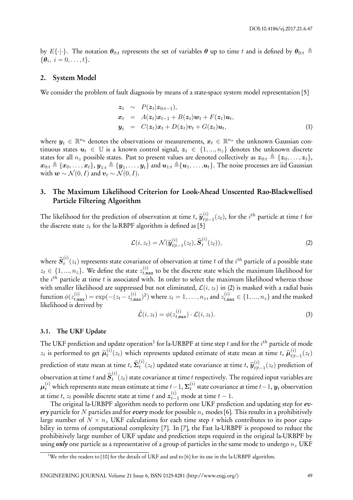by  $E\{\cdot|\cdot\}$ . The notation  $\theta_{0:t}$  represents the set of variables  $\theta$  up to time *t* and is defined by  $\theta_{0:t} \triangleq$  $\{\theta_i, i = 0, \ldots, t\}.$ 

#### **2. System Model**

We consider the problem of fault diagnosis by means of a state-space system model representation [5]

$$
\begin{array}{rcl}\n\mathbf{z}_t & \sim & P(\mathbf{z}_t|\mathbf{z}_{0:t-1}), \\
\mathbf{x}_t & = & A(\mathbf{z}_t)\mathbf{x}_{t-1} + B(\mathbf{z}_t)\mathbf{w}_t + F(\mathbf{z}_t)\mathbf{u}_t, \\
\mathbf{y}_t & = & C(\mathbf{z}_t)\mathbf{x}_t + D(\mathbf{z}_t)\mathbf{v}_t + G(\mathbf{z}_t)\mathbf{u}_t,\n\end{array} \tag{1}
$$

where  $\bm{y}_t \in \mathbb{R}^{n_y}$  denotes the observations or measurements,  $\bm{x}_t \in \mathbb{R}^{n_x}$  the unknown Gaussian continuous states  $u_t \in \mathbb{U}$  is a known control signal,  $z_t \in \{1, ..., n_z\}$  denotes the unknown discrete states for all  $n_z$  possible states. Past to present values are denoted collectively as  $z_{0:t} \triangleq \{z_0, \ldots, z_t\}$ ,  $\bm{x}_{0:t}\triangleq\{\bm{x}_0,\dots,\bm{x}_t\},$   $\bm{y}_{1:t}\triangleq\{\bm{y}_1,\dots,\bm{y}_t\}$  and  $\bm{u}_{1:t}\triangleq\{\bm{u}_1,\dots,\bm{u}_t\}.$  The noise processes are iid Gaussian  $\text{with } \boldsymbol{w} \sim \mathcal{N}(0, I) \text{ and } \boldsymbol{v}_t \sim \mathcal{N}(0, I).$ 

# **3. The Maximum Likelihood Criterion for Look-Ahead Unscented Rao-Blackwellised Particle Filtering Algorithm**

The likelihood for the prediction of observation at time  $t$ ,  $\hat{y}_{t|t}^{(i)}$  $t^{(i)}_{t|t-1}(z_t)$ , for the *i*<sup>th</sup> particle at time *t* for the discrete state  $z_t$  for the la-RBPF algorithm is defined as [5]

$$
\mathcal{L}(i, z_t) = \mathcal{N}(\widehat{\boldsymbol{y}}_{t|t-1}^{(i)}(z_t), \widehat{\boldsymbol{S}}_t^{(i)}(z_t)),
$$
\n(2)

where  $\widehat{\bm{S}}_t^{(i)}$  $t^{(i)}(z_t)$  represents state covariance of observation at time  $t$  of the  $i^{th}$  particle of a possible state  $z_t \in \{1,...,n_z\}$ . We define the state  $z_{t,\text{max}}^{(i)}$  to be the discrete state which the maximum likelihood for the *i th* particle at time *t* is associated with. In order to select the maximum likelihood whereas those with smaller likelihood are suppressed but not eliminated,  $\mathcal{L}(i, z_t)$  in (2) is masked with a radial basis function  $\phi(z_{t,\mathtt{max}}^{(i)})=\exp(-(z_t-z_{t,\mathtt{max}}^{(i)})^2)$  where  $z_t=1,\ldots,n_z,$  and  $z_{t,\mathtt{max}}^{(i)}\in\{1,...,n_z\}$  and the masked likelihood is derived by

$$
\tilde{\mathcal{L}}(i, z_t) = \phi(z_{t, \max}^{(i)}) \cdot \mathcal{L}(i, z_t). \tag{3}
$$

#### **3.1. The UKF Update**

The UKF prediction and update operation<sup>1</sup> for la-URBPF at time step  $t$  and for the  $i^{th}$  particle of mode  $z_t$  is performed to get  $\hat{\boldsymbol{\mu}}_t^{(i)}$  $\hat{u}^{(i)}(z_t)$  which represents updated estimate of state mean at time *t*,  $\hat{\mu}_{t|t}^{(i)}$  $\binom{t}{t}$ <sup>*t*</sup> $|t-1|$ <sup>2</sup>*t*</sub>) prediction of state mean at time  $t$ ,  $\widehat{\mathbf{\Sigma}}_t^{(i)}$  $f_t^{(i)}(z_t)$  updated state covariance at time *t*,  $\widehat{\bm{y}}_{t|t}^{(i)}$  $t|_{t-1}(z_t)$  prediction of observation at time *t* and  $\widehat{S}_t^{(i)}$  $t^{(8)}(z_t)$  state covariance at time  $t$  respectively. The required input variables are  $\boldsymbol{\mu}_t^{(i)}$  which represents state mean estimate at time  $t$  − 1,  $\boldsymbol{\Sigma}_t^{(i)}$ *t* state covariance at time *t−*1, *y<sup>t</sup>* observation at time *t*, *zt* possible discrete state at time *t* and  $z_{t-1}^{(i)}$  mode at time *t* − 1.

The original la-URBPF algorithm needs to perform one UKF prediction and updating step for *every* particle for *N* particles and for *every* mode for possible *n<sup>z</sup>* modes [6]. This results in a prohibitively large number of  $N \times n_z$  UKF calculations for each time step t which contributes to its poor capability in terms of computational complexity [7]. In [7], the Fast la-URBPF is proposed to reduce the prohibitively large number of UKF update and prediction steps required in the original la-URBPF by using *only* one particle as a representative of a group of particles in the same mode to undergo *n<sup>z</sup>* UKF

<sup>&</sup>lt;sup>1</sup>We refer the readers to [10] for the details of UKF and and to [6] for its use in the la-URBPF algorithm.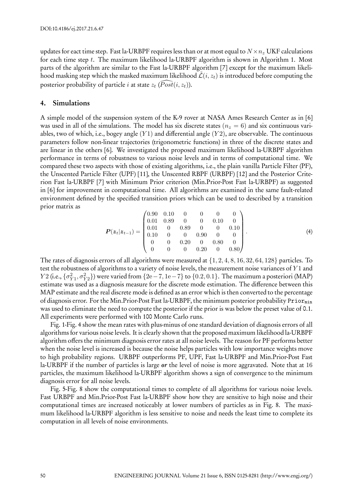updates for eact time step. Fast la-URBPF requires less than or at most equal to  $N \times n_z$  UKF calculations for each time step *t*. The maximum likelihood la-URBPF algorithm is shown in Algorithm 1. Most parts of the algorithm are similar to the Fast la-URBPF algorithm [7] except for the maximum likelihood masking step which the masked maximum likelihood  $\tilde{\mathcal{L}}(i, z_t)$  is introduced before computing the posterior probability of particle  $i$  at state  $z_t$   $(\widehat{Post}(i,z_t)).$ 

#### **4. Simulations**

A simple model of the suspension system of the K-9 rover at NASA Ames Research Center as in [6] was used in all of the simulations. The model has six discrete states ( $n<sub>z</sub> = 6$ ) and six continuous variables, two of which, i.e., bogey angle (*Y* 1) and differential angle (*Y* 2), are observable. The continuous parameters follow non-linear trajectories (trigonometric functions) in three of the discrete states and are linear in the others [6]. We investigated the proposed maximum likelihood la-URBPF algorithm performance in terms of robustness to various noise levels and in terms of computational time. We compared these two aspects with those of existing algorithms, i.e., the plain vanilla Particle Filter (PF), the Unscented Particle Filter (UPF) [11], the Unscented RBPF (URBPF) [12] and the Posterior Criterion Fast la-URBPF [7] with Minimum Prior criterion (Min.Prior-Post Fast la-URBPF) as suggested in [6] for improvement in computational time. All algorithms are examined in the same fault-related environment defined by the specified transition priors which can be used to described by a transition prior matrix as  $\sqrt{2}$ 

$$
\boldsymbol{P}(\boldsymbol{z}_t|\boldsymbol{z}_{t-1}) = \begin{pmatrix} 0.90 & 0.10 & 0 & 0 & 0 & 0 \\ 0.01 & 0.89 & 0 & 0 & 0.10 & 0 \\ 0.01 & 0 & 0.89 & 0 & 0 & 0.10 \\ 0.10 & 0 & 0 & 0.90 & 0 & 0 \\ 0 & 0 & 0.20 & 0 & 0.80 & 0 \\ 0 & 0 & 0 & 0.20 & 0 & 0.80 \end{pmatrix}.
$$
 (4)

The rates of diagnosis errors of all algorithms were measured at *{*1*,* 2*,* 4*,* 8*,* 16*,* 32*,* 64*,* 128*}* particles. To test the robustness of algorithms to a variety of noise levels, the measurement noise variances of *Y* 1 and Y2 (i.e.,  $\{\sigma_{Y1}^2,\sigma_{Y2}^2\})$  were varied from  $\{2\mathrm{e}-7,1\mathrm{e}-7\}$  to  $\{0.2,0.1\}.$  The maximum a posteriori (MAP) estimate was used as a diagnosis measure for the discrete mode estimation. The difference between this MAP estimate and the real discrete mode is defined as an error which is then converted to the percentage of diagnosis error. For the Min.Prior-Post Fast la-URBPF, the minimum posterior probability  $\text{Prior}_{\text{min}}$ was used to eliminate the need to compute the posterior if the prior is was below the preset value of 0.1. All experiments were performed with 100 Monte Carlo runs.

Fig. 1-Fig. 4 show the mean rates with plus-minus of one standard deviation of diagnosis errors of all algorithms for various noise levels. It is clearly shown that the proposed maximum likelihood la-URBPF algorithm offers the minimum diagnosis error rates at all noise levels. The reason for PF performs better when the noise level is increased is because the noise helps particles with low importance weights move to high probability regions. URBPF outperforms PF, UPF, Fast la-URBPF and Min.Prior-Post Fast la-URBPF if the number of particles is large *or* the level of noise is more aggravated. Note that at 16 particles, the maximum likelihood la-URBPF algorithm shows a sign of convergence to the minimum diagnosis error for all noise levels.

Fig. 5-Fig. 8 show the computational times to complete of all algorithms for various noise levels. Fast URBPF and Min.Prior-Post Fast la-URBPF show how they are sensitive to high noise and their computational times are increased noticeably at lower numbers of particles as in Fig. 8. The maximum likelihood la-URBPF algorithm is less sensitive to noise and needs the least time to complete its computation in all levels of noise environments.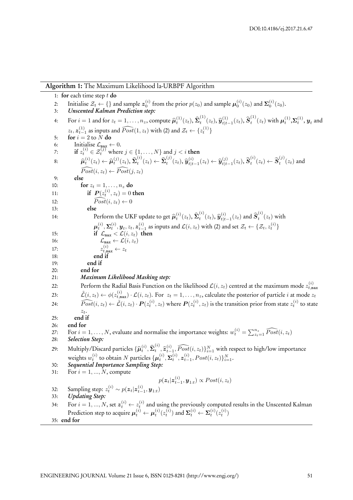| Algorithm 1: The Maximum Likelihood la-URBPF Algorithm |  |  |  |  |  |  |  |  |  |  |  |  |
|--------------------------------------------------------|--|--|--|--|--|--|--|--|--|--|--|--|
|--------------------------------------------------------|--|--|--|--|--|--|--|--|--|--|--|--|

1: **for** each time step *t* **do** 2: Initialise  $\mathcal{Z}_t \leftarrow \{\}$  and sample  $\mathbf{z}_0^{(i)}$  from the prior  $p(z_0)$  and sample  $\boldsymbol{\mu}_0^{(i)}(z_0)$  and  $\boldsymbol{\Sigma}_0^{(i)}(z_0)$ . 3: *Unscented Kalman Prediction step:* 4: For  $i = 1$  and for  $z_t = 1, \ldots, n_z$ , compute  $\widehat{\boldsymbol{\mu}}_t^{(1)}(z_t)$ ,  $\widehat{\boldsymbol{\Sigma}}_t^{(1)}$  $\hat{\bm{y}}_{t}^{(1)}(z_{t}), \hat{\bm{y}}_{t|t}^{(1)}$  $\hat{\bm{s}}_{t|t-1}^{(1)}(z_t), \widehat{\bm{S}}_t^{(1)}$  $\boldsymbol{\mu}_t^{(1)}(z_t)$  with  $\boldsymbol{\mu}_t^{(1)},$   $\boldsymbol{\Sigma}_t^{(1)},$   $\boldsymbol{y}_t$  and  $z_t$ ,  $z_{t-1}^{(1)}$  as inputs and  $\widehat{Post}(1, z_t)$  with (2) and  $\mathcal{Z}_t \leftarrow \{z_t^{(1)}\}$ 5: **for**  $i = 2$  to  $\overline{N}$  do 6: Initialise  $\mathcal{L}_{\text{max}} \leftarrow 0$ . 7: **if**  $z_t^{(i)} \in \mathcal{Z}_t^{(j)}$  where  $j \in \{1, \ldots, N\}$  and  $j < i$  **then** 8:  $\hat{\mu}_t^{(i)}(z_t) \leftarrow \hat{\mu}_t^{(j)}(z_t), \hat{\Sigma}_t^{(i)}$  $\mathbf{z}_t^{(i)}(z_t) \leftarrow \mathbf{\hat{\Sigma}}_t^{(j)}$  $\hat{\bm{y}}_t^{(j)}(z_t), \widehat{\bm{y}}_{t|t}^{(i)}$  $\hat{y}_{t|t-1}^{(i)}(z_t) \leftarrow \hat{y}_{t|t}^{(j)}$  $\hat{\boldsymbol{s}}_{t|t-1}^{(j)}(z_t), \widehat{\boldsymbol{S}}_t^{(i)}$  $\hat{\boldsymbol{s}}_t^{(i)}(z_t) \leftarrow \widehat{\boldsymbol{S}}_t^{(j)}$  $t_t^{(3)}(z_t)$  and  $\widehat{Post}(i, z_t) \leftarrow \widehat{Post}(j, z_t)$ 9: **else** 10: **for**  $z_t = 1, ..., n_z$  **do** 11: **if**  $P(z_t^{(i)}, z_t) = 0$  then 12:  $\widehat{Post}(i, z_t) \leftarrow 0$ 13: **else** 14: Perform the UKF update to get  $\widehat{\boldsymbol{\mu}}_t^{(i)}(z_t), \widehat{\boldsymbol{\Sigma}}_t^{(i)}$  $\hat{\bm{y}}_t^{(i)}(z_t), \hat{\bm{y}}_{t|t}^{(i)}$  $\hat{\boldsymbol{s}}_{t|t-1}^{(i)}(z_t)$  and  $\widehat{\boldsymbol{S}}_t^{(i)}$  $\int_t^{\infty} (z_t)$  with  $\boldsymbol{\mu}_t^{(i)}, \boldsymbol{\Sigma}_t^{(i)}, \boldsymbol{y}_t, z_t, \boldsymbol{z}_{t-1}^{(i)}$  as inputs and  $\mathcal{L}(i,z_t)$  with (2) and set  $\mathcal{Z}_t \leftarrow \{\mathcal{Z}_t, z_t^{(i)}\}$ 15: **if**  $\mathcal{L}_{\text{max}} < \mathcal{L}(i, z_t)$  then 16:  $\mathcal{L}_{\text{max}} \leftarrow \mathcal{L}(i, z_t)$ 17:  $z_{t, \max}^{(i)} \leftarrow z_t$ 18: **end if** 19: **end if** 20: **end for** 21: *Maximum Likelihood Masking step:* 22: Perform the Radial Basis Function on the likelihood  $\mathcal{L}(i,z_t)$  centred at the maximum mode  $z_{t,\mathtt{max}}^{(i)}$ 23:  $\tilde{\mathcal{L}}(i,z_t) \leftarrow \phi(z_{t,\texttt{max}}^{(i)}) \cdot \mathcal{L}(i,z_t)$ . For  $z_t = 1,\ldots,n_z$ , calculate the posterior of particle i at mode  $z_t$ 24:  $\widehat{Post}(i,z_t) \leftarrow \tilde{\mathcal{L}}(i,z_t) \cdot \boldsymbol{P}(z_t^{(i)},z_t)$  where  $\boldsymbol{P}(z_t^{(i)},z_t)$  is the transition prior from state  $z_t^{(i)}$  to state *zt*. 25: **end if** 26: **end for** 27: For  $i = 1, ..., N$ , evaluate and normalise the importance weights:  $w_t^{(i)} = \sum_{z_t=1}^{n_z} \widehat{Post}(i, z_t)$ 28: *Selection Step:* 29: Multiply/Discard particles  $\{\widehat{\boldsymbol{\mu}}_t^{(i)}, \widehat{\boldsymbol{\Sigma}}_t^{(i)}\}$  $\mathbf{f}_t^{(i)}, \hat{\mathbf{z}}_{t-1}^{(i)}, \widehat{Post}(i, z_t) \}_{i=1}^N$  with respect to high/low importance weights  $w_t^{(i)}$  to obtain N particles  $\{\boldsymbol{\mu}_t^{(i)}, \boldsymbol{\Sigma}_t^{(i)}, \boldsymbol{z}_{t-1}^{(i)}, Post(i, z_t)\}_{i=1}^N$ . 30: *Sequential Importance Sampling Step:* 31: For  $i = 1, ..., N$ , compute  $p(z_t|z_{t-1}^{(i)}, y_{1:t}) \propto Post(i, z_t)$ 32: Sampling step:  $z_t^{(i)} \sim p(z_t|z_{t-1}^{(i)}, y_{1:t})$ 33: *Updating Step:* 34: For  $i=1,...,N,$  set  $\boldsymbol{z}_{t}^{(i)} \leftarrow z_{t}^{(i)}$  and using the previously computed results in the Unscented Kalman Prediction step to acquire  $\pmb{\mu}_t^{(i)} \leftarrow \pmb{\mu}_t^{(i)}(z_t^{(i)})$  and  $\pmb{\Sigma}_t^{(i)} \leftarrow \pmb{\Sigma}_t^{(i)}(z_t^{(i)})$ 35: **end for**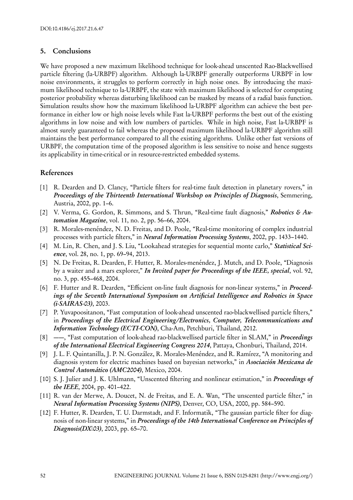### **5. Conclusions**

We have proposed a new maximum likelihood technique for look-ahead unscented Rao-Blackwellised particle filtering (la-URBPF) algorithm. Although la-URBPF generally outperforms URBPF in low noise environments, it struggles to perform correctly in high noise ones. By introducing the maximum likelihood technique to la-URBPF, the state with maximum likelihood is selected for computing posterior probability whereas disturbing likelihood can be masked by means of a radial basis function. Simulation results show how the maximum likelihood la-URBPF algorithm can achieve the best performance in either low or high noise levels while Fast la-URBPF performs the best out of the existing algorithms in low noise and with low numbers of particles. While in high noise, Fast la-URBPF is almost surely guaranteed to fail whereas the proposed maximum likelihood la-URBPF algorithm still maintains the best performance compared to all the existing algorithms. Unlike other fast versions of URBPF, the computation time of the proposed algorithm is less sensitive to noise and hence suggests its applicability in time-critical or in resource-restricted embedded systems.

# **References**

- [1] R. Dearden and D. Clancy, "Particle filters for real-time fault detection in planetary rovers," in *Proceedings of the Thirteenth International Workshop on Principles of Diagnosis*, Semmering, Austria, 2002, pp. 1–6.
- [2] V. Verma, G. Gordon, R. Simmons, and S. Thrun, "Real-time fault diagnosis," *Robotics & Automation Magazine*, vol. 11, no. 2, pp. 56–66, 2004.
- [3] R. Morales-menéndez, N. D. Freitas, and D. Poole, "Real-time monitoring of complex industrial processes with particle filters," in *Neural Information Processing Systems*, 2002, pp. 1433–1440.
- [4] M. Lin, R. Chen, and J. S. Liu, "Lookahead strategies for sequential monte carlo," *Statistical Science*, vol. 28, no. 1, pp. 69–94, 2013.
- [5] N. De Freitas, R. Dearden, F. Hutter, R. Morales-menéndez, J. Mutch, and D. Poole, "Diagnosis by a waiter and a mars explorer," *In Invited paper for Proceedings of the IEEE, special*, vol. 92, no. 3, pp. 455–468, 2004.
- [6] F. Hutter and R. Dearden, "Efficient on-line fault diagnosis for non-linear systems," in *Proceedings of the Seventh International Symposium on Artificial Intelligence and Robotics in Space (i-SAIRAS-03)*, 2003.
- [7] P. Yuvapoositanon, "Fast computation of look-ahead unscented rao-blackwellised particle filters," in *Proceedings of the Electrical Engineering/Electronics, Computer, Telecommunications and Information Technology (ECTI-CON)*, Cha-Am, Petchburi, Thailand, 2012.
- [8] ——, "Fast computation of look-ahead rao-blackwellised particle filter in SLAM," in *Proceedings of the International Electrical Engineering Congress 2014*, Pattaya, Chonburi, Thailand, 2014.
- [9] J. L. F. Quintanilla, J. P. N. González, R. Morales-Menéndez, and R. Ramírez, "A monitoring and diagnosis system for electric machines based on bayesian networks," in *Asociación Mexicana de Control Automático (AMC2004)*, Mexico, 2004.
- [10] S. J. Julier and J. K. Uhlmann, "Unscented filtering and nonlinear estimation," in *Proceedings of the IEEE*, 2004, pp. 401–422.
- [11] R. van der Merwe, A. Doucet, N. de Freitas, and E. A. Wan, "The unscented particle filter," in *Neural Information Processing Systems (NIPS)*, Denver, CO, USA, 2000, pp. 584–590.
- [12] F. Hutter, R. Dearden, T. U. Darmstadt, and F. Informatik, "The gaussian particle filter for diagnosis of non-linear systems," in *Proceedings of the 14th International Conference on Principles of Diagnosis(DX03)*, 2003, pp. 65–70.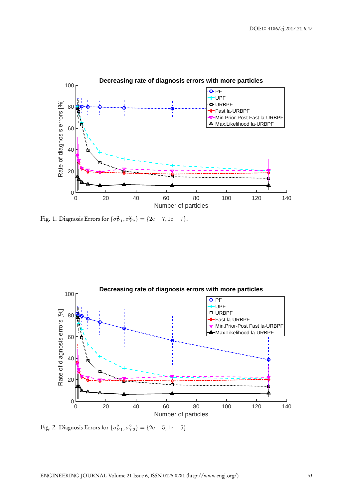

 $\text{Fig. 1. Diagnosis Errors for } \{\sigma_{Y1}^2, \sigma_{Y2}^2\} = \{2\text{e} - 7, 1\text{e} - 7\}.$ 



 $\text{Fig. 2. Diagnosis Errors for } \{\sigma_{Y1}^2, \sigma_{Y2}^2\} = \{2\text{e} - 5, 1\text{e} - 5\}.$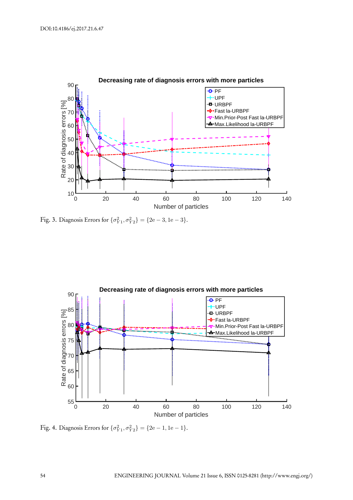

Fig. 3. Diagnosis Errors for  $\{\sigma_{Y1}^2, \sigma_{Y2}^2\} = \{2e - 3, 1e - 3\}.$ 



 $\text{Fig. 4. Diagonosis Errors for } \{\sigma_{Y1}^2, \sigma_{Y2}^2\} = \{2\text{e} - 1, 1\text{e} - 1\}.$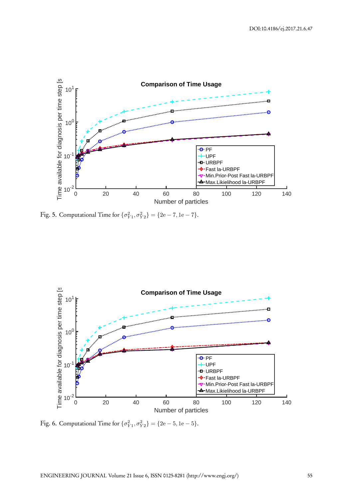

Fig. 5. Computational Time for  $\{\sigma_{Y1}^2, \sigma_{Y2}^2\} = \{2e - 7, 1e - 7\}.$ 



Fig. 6. Computational Time for  $\{\sigma_{Y1}^2, \sigma_{Y2}^2\} = \{2e - 5, 1e - 5\}.$